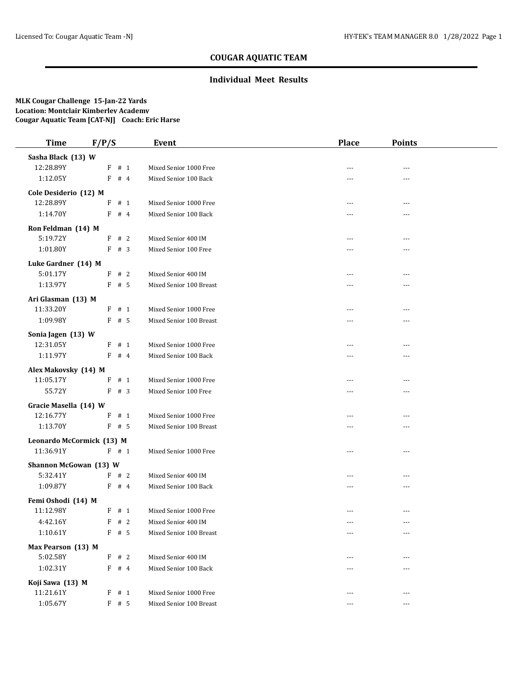# **COUGAR AQUATIC TEAM**

### **Individual Meet Results**

#### **MLK Cougar Challenge 15-Jan-22 Yards Location: Montclair Kimberley Academy Cougar Aquatic Team [CAT-NJ] Coach: Eric Harse**

| <b>Time</b>                     | F/P/S   |  | Event                   | <b>Place</b>   | <b>Points</b>  |
|---------------------------------|---------|--|-------------------------|----------------|----------------|
| Sasha Black (13) W              |         |  |                         |                |                |
| 12:28.89Y                       | F # 1   |  | Mixed Senior 1000 Free  |                | ---            |
| 1:12.05Y                        | $F$ # 4 |  | Mixed Senior 100 Back   | $---$          | ---            |
| Cole Desiderio (12) M           |         |  |                         |                |                |
| 12:28.89Y                       | $F$ # 1 |  | Mixed Senior 1000 Free  | $- - -$        | ---            |
| 1:14.70Y                        | $F$ # 4 |  | Mixed Senior 100 Back   | ---            | ---            |
| Ron Feldman (14) M              |         |  |                         |                |                |
| 5:19.72Y                        | F # 2   |  | Mixed Senior 400 IM     | $---$          | ---            |
| 1:01.80Y                        | F # 3   |  | Mixed Senior 100 Free   | ---            | ---            |
| Luke Gardner (14) M             |         |  |                         |                |                |
| 5:01.17Y                        | F # 2   |  | Mixed Senior 400 IM     | ---            | ---            |
| 1:13.97Y                        | $F$ # 5 |  | Mixed Senior 100 Breast | ---            | ---            |
| Ari Glasman (13) M              |         |  |                         |                |                |
| 11:33.20Y                       | $F$ # 1 |  | Mixed Senior 1000 Free  | $---$          | ---            |
| 1:09.98Y                        | $F$ # 5 |  | Mixed Senior 100 Breast | ---            | ---            |
| Sonia Jagen (13) W              |         |  |                         |                |                |
| 12:31.05Y                       | F # 1   |  | Mixed Senior 1000 Free  | $---$          | ---            |
| 1:11.97Y                        | $F$ # 4 |  | Mixed Senior 100 Back   | ---            |                |
| Alex Makovsky (14) M            |         |  |                         |                |                |
| 11:05.17Y                       | $F$ # 1 |  | Mixed Senior 1000 Free  |                |                |
| 55.72Y                          | F # 3   |  | Mixed Senior 100 Free   | ---            |                |
| Gracie Masella (14) W           |         |  |                         |                |                |
| 12:16.77Y                       | $F$ # 1 |  | Mixed Senior 1000 Free  | ---            | ---            |
| 1:13.70Y                        | $F$ # 5 |  | Mixed Senior 100 Breast | ---            |                |
| Leonardo McCormick (13) M       |         |  |                         |                |                |
| 11:36.91Y                       | $F$ # 1 |  | Mixed Senior 1000 Free  | $\overline{a}$ | $\overline{a}$ |
| Shannon McGowan (13) W          |         |  |                         |                |                |
| 5:32.41Y                        | F # 2   |  | Mixed Senior 400 IM     | $---$          | $- - -$        |
| 1:09.87Y                        | $F$ # 4 |  | Mixed Senior 100 Back   | $\overline{a}$ | ---            |
|                                 |         |  |                         |                |                |
| Femi Oshodi (14) M<br>11:12.98Y | F # 1   |  | Mixed Senior 1000 Free  | $- - -$        | $\overline{a}$ |
| 4:42.16Y                        | $F$ # 2 |  | Mixed Senior 400 IM     | $---$          | $\cdots$       |
| 1:10.61Y                        | F # 5   |  | Mixed Senior 100 Breast | ---            | ---            |
|                                 |         |  |                         |                |                |
| Max Pearson (13) M<br>5:02.58Y  | F # 2   |  | Mixed Senior 400 IM     | $---$          | ---            |
| 1:02.31Y                        | $F$ # 4 |  | Mixed Senior 100 Back   |                |                |
|                                 |         |  |                         |                |                |
| Koji Sawa (13) M<br>11:21.61Y   | F # 1   |  | Mixed Senior 1000 Free  |                |                |
| 1:05.67Y                        | $F$ # 5 |  | Mixed Senior 100 Breast | $---$<br>$---$ | ---            |
|                                 |         |  |                         |                | ---            |